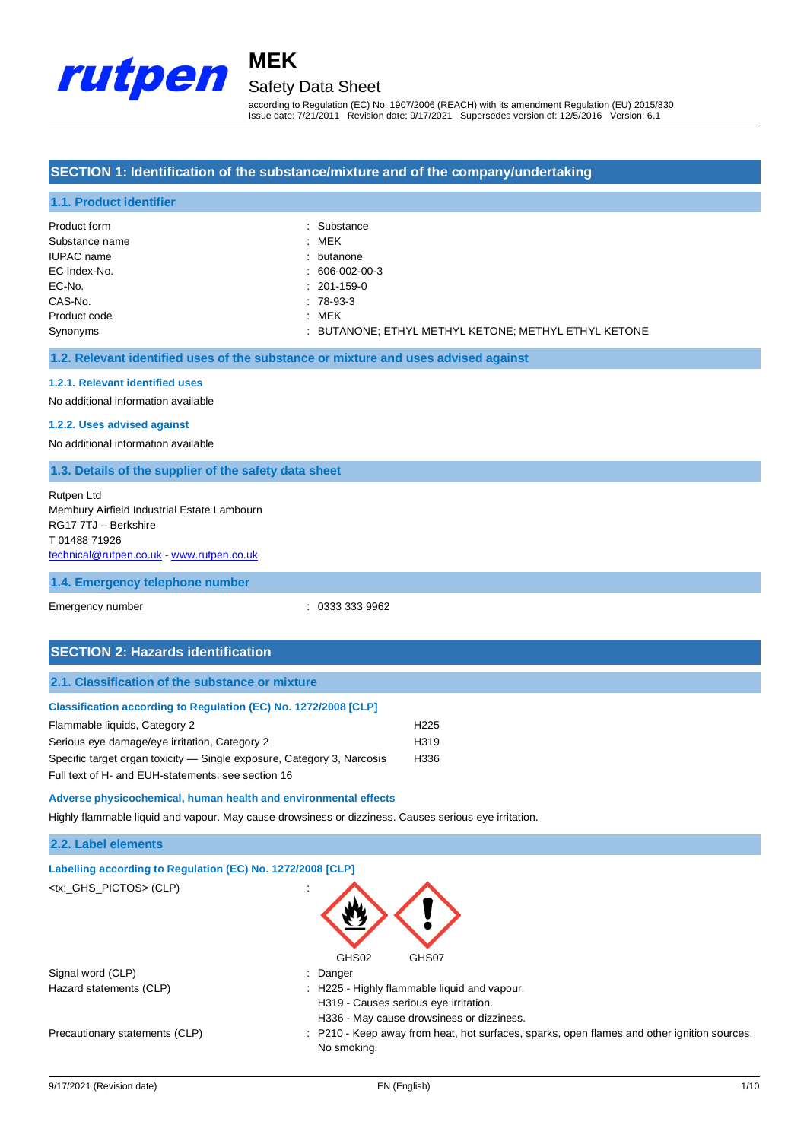

# **MEK** Safety Data Sheet

according to Regulation (EC) No. 1907/2006 (REACH) with its amendment Regulation (EU) 2015/830 Issue date: 7/21/2011 Revision date: 9/17/2021 Supersedes version of: 12/5/2016 Version: 6.1

#### **SECTION 1: Identification of the substance/mixture and of the company/undertaking**

#### **1.1. Product identifier**

| Product form      | : Substance                                          |
|-------------------|------------------------------------------------------|
| Substance name    | : MEK                                                |
| <b>IUPAC</b> name | : butanone                                           |
| EC Index-No.      | $: 606-002-00-3$                                     |
| EC-No.            | $: 201-159-0$                                        |
| CAS-No.           | $: 78-93-3$                                          |
| Product code      | : MEK                                                |
| Synonyms          | : BUTANONE; ETHYL METHYL KETONE; METHYL ETHYL KETONE |

#### **1.2. Relevant identified uses of the substance or mixture and uses advised against**

#### **1.2.1. Relevant identified uses**

No additional information available

#### **1.2.2. Uses advised against**

No additional information available

#### **1.3. Details of the supplier of the safety data sheet**

#### Rutpen Ltd Membury Airfield Industrial Estate Lambourn RG17 7TJ – Berkshire T 01488 71926 [technical@rutpen.co.uk](mailto:technical@rutpen.co.uk) - [www.rutpen.co.uk](http://www.rutpen.co.uk/)

#### **1.4. Emergency telephone number**

Emergency number : 0333 333 9962

### **SECTION 2: Hazards identification**

| Classification according to Regulation (EC) No. 1272/2008 [CLP]        |                  |
|------------------------------------------------------------------------|------------------|
| Flammable liquids, Category 2                                          | H <sub>225</sub> |
| Serious eye damage/eye irritation, Category 2                          | H <sub>319</sub> |
| Specific target organ toxicity — Single exposure, Category 3, Narcosis |                  |
| Full text of H- and EUH-statements: see section 16                     |                  |

#### **Adverse physicochemical, human health and environmental effects**

Highly flammable liquid and vapour. May cause drowsiness or dizziness. Causes serious eye irritation.

#### **2.2. Label elements**

| Labelling according to Regulation (EC) No. 1272/2008 [CLP] |                                                                                                            |
|------------------------------------------------------------|------------------------------------------------------------------------------------------------------------|
| <tx:_ghs_pictos> (CLP)</tx:_ghs_pictos>                    | $\blacksquare$                                                                                             |
|                                                            | GHS02<br>GHS07                                                                                             |
| Signal word (CLP)                                          | : Danger                                                                                                   |
| Hazard statements (CLP)                                    | : H225 - Highly flammable liquid and vapour.                                                               |
|                                                            | H319 - Causes serious eye irritation.                                                                      |
|                                                            | H336 - May cause drowsiness or dizziness.                                                                  |
| Precautionary statements (CLP)                             | : P210 - Keep away from heat, hot surfaces, sparks, open flames and other ignition sources.<br>No smoking. |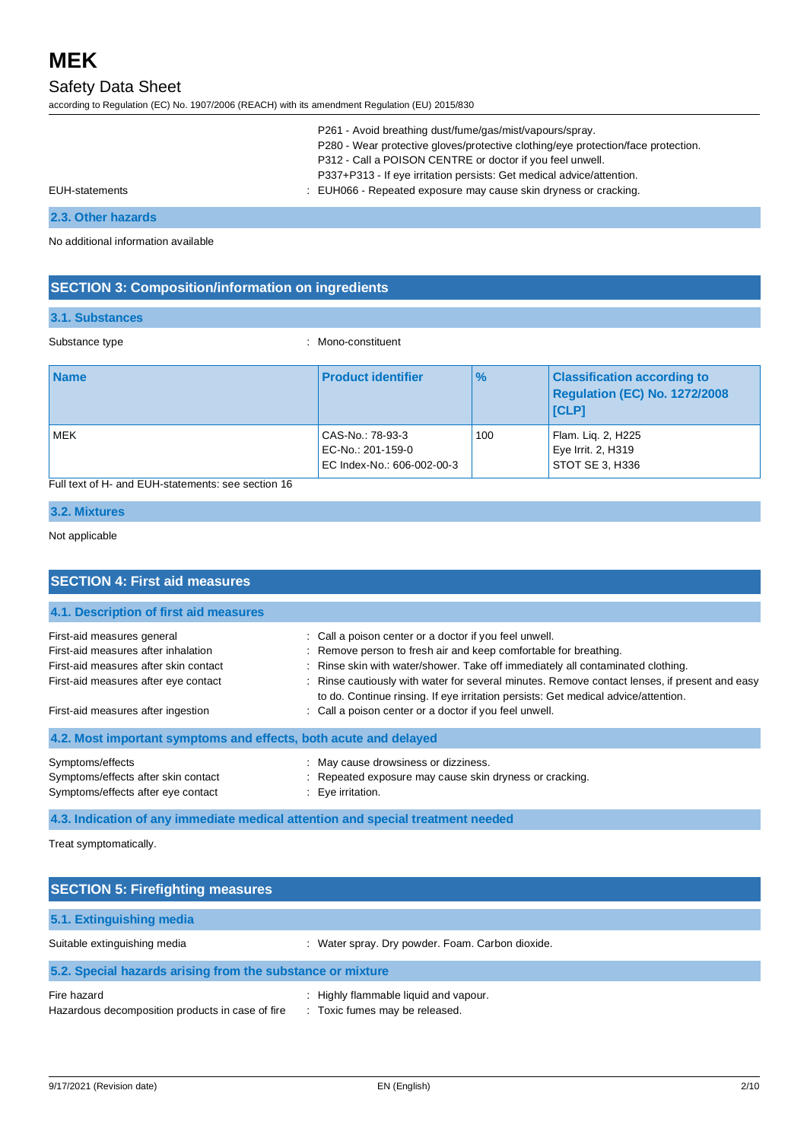# Safety Data Sheet

according to Regulation (EC) No. 1907/2006 (REACH) with its amendment Regulation (EU) 2015/830

|                | P261 - Avoid breathing dust/fume/gas/mist/vapours/spray.                          |
|----------------|-----------------------------------------------------------------------------------|
|                | P280 - Wear protective gloves/protective clothing/eye protection/face protection. |
|                | P312 - Call a POISON CENTRE or doctor if you feel unwell.                         |
|                | P337+P313 - If eye irritation persists: Get medical advice/attention.             |
| EUH-statements | : EUH066 - Repeated exposure may cause skin dryness or cracking.                  |

### **2.3. Other hazards**

No additional information available

### **SECTION 3: Composition/information on ingredients**

#### **3.1. Substances**

Substance type  $\qquad \qquad$ : Mono-constituent

| <b>Name</b> | <b>Product identifier</b>                                           | $\frac{9}{6}$ | <b>Classification according to</b><br>Regulation (EC) No. 1272/2008<br><b>ICLPI</b> |
|-------------|---------------------------------------------------------------------|---------------|-------------------------------------------------------------------------------------|
| MEK         | CAS-No.: 78-93-3<br>EC-No.: 201-159-0<br>EC Index-No.: 606-002-00-3 | 100           | Flam. Lig. 2, H225<br>Eye Irrit. 2, H319<br>STOT SE 3, H336                         |

### Full text of H- and EUH-statements: see section 16

### **3.2. Mixtures**

#### Not applicable

| <b>SECTION 4: First aid measures</b>                                                          |                                                                                                                                                                                     |  |
|-----------------------------------------------------------------------------------------------|-------------------------------------------------------------------------------------------------------------------------------------------------------------------------------------|--|
| 4.1. Description of first aid measures                                                        |                                                                                                                                                                                     |  |
| First-aid measures general                                                                    | : Call a poison center or a doctor if you feel unwell.                                                                                                                              |  |
| First-aid measures after inhalation                                                           | : Remove person to fresh air and keep comfortable for breathing.                                                                                                                    |  |
| First-aid measures after skin contact                                                         | : Rinse skin with water/shower. Take off immediately all contaminated clothing.                                                                                                     |  |
| First-aid measures after eye contact                                                          | : Rinse cautiously with water for several minutes. Remove contact lenses, if present and easy<br>to do. Continue rinsing. If eye irritation persists: Get medical advice/attention. |  |
| First-aid measures after ingestion                                                            | : Call a poison center or a doctor if you feel unwell.                                                                                                                              |  |
| 4.2. Most important symptoms and effects, both acute and delayed                              |                                                                                                                                                                                     |  |
| Symptoms/effects<br>Symptoms/effects after skin contact<br>Symptoms/effects after eye contact | : May cause drowsiness or dizziness.<br>: Repeated exposure may cause skin dryness or cracking.<br>$\therefore$ Eve irritation.                                                     |  |

**4.3. Indication of any immediate medical attention and special treatment needed**

Treat symptomatically.

| <b>SECTION 5: Firefighting measures</b>                         |                                                                         |  |
|-----------------------------------------------------------------|-------------------------------------------------------------------------|--|
| 5.1. Extinguishing media                                        |                                                                         |  |
| Suitable extinguishing media                                    | : Water spray. Dry powder. Foam. Carbon dioxide.                        |  |
| 5.2. Special hazards arising from the substance or mixture      |                                                                         |  |
| Fire hazard<br>Hazardous decomposition products in case of fire | : Highly flammable liquid and vapour.<br>: Toxic fumes may be released. |  |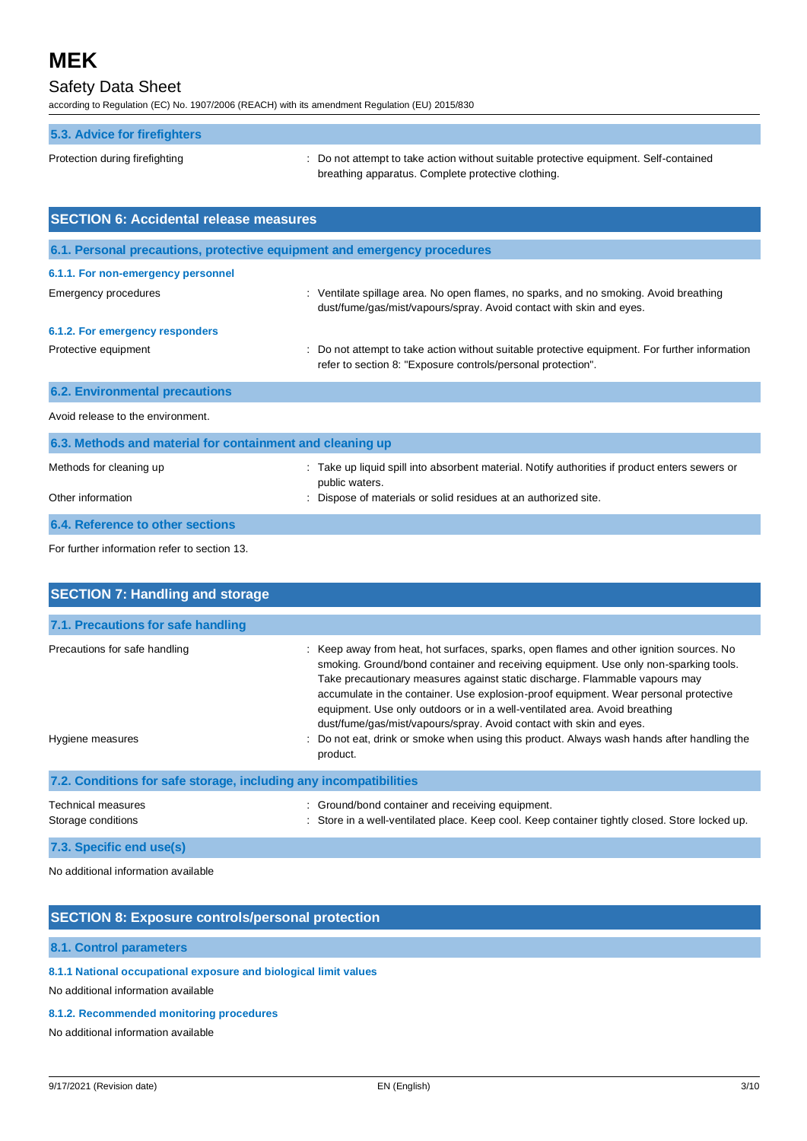# Safety Data Sheet

according to Regulation (EC) No. 1907/2006 (REACH) with its amendment Regulation (EU) 2015/830

| 5.3. Advice for firefighters                              |                                                                                                                                                                |
|-----------------------------------------------------------|----------------------------------------------------------------------------------------------------------------------------------------------------------------|
| Protection during firefighting                            | : Do not attempt to take action without suitable protective equipment. Self-contained<br>breathing apparatus. Complete protective clothing.                    |
| <b>SECTION 6: Accidental release measures</b>             |                                                                                                                                                                |
|                                                           | 6.1. Personal precautions, protective equipment and emergency procedures                                                                                       |
| 6.1.1. For non-emergency personnel                        |                                                                                                                                                                |
| Emergency procedures                                      | : Ventilate spillage area. No open flames, no sparks, and no smoking. Avoid breathing<br>dust/fume/gas/mist/vapours/spray. Avoid contact with skin and eyes.   |
| 6.1.2. For emergency responders                           |                                                                                                                                                                |
| Protective equipment                                      | : Do not attempt to take action without suitable protective equipment. For further information<br>refer to section 8: "Exposure controls/personal protection". |
| <b>6.2. Environmental precautions</b>                     |                                                                                                                                                                |
| Avoid release to the environment.                         |                                                                                                                                                                |
| 6.3. Methods and material for containment and cleaning up |                                                                                                                                                                |
| Methods for cleaning up                                   | : Take up liquid spill into absorbent material. Notify authorities if product enters sewers or<br>public waters.                                               |
| Other information                                         | : Dispose of materials or solid residues at an authorized site.                                                                                                |

### **6.4. Reference to other sections**

For further information refer to section 13.

| <b>SECTION 7: Handling and storage</b>                            |                                                                                                                                                                                                                                                                                                                                                                                                                                                                                                             |  |
|-------------------------------------------------------------------|-------------------------------------------------------------------------------------------------------------------------------------------------------------------------------------------------------------------------------------------------------------------------------------------------------------------------------------------------------------------------------------------------------------------------------------------------------------------------------------------------------------|--|
|                                                                   |                                                                                                                                                                                                                                                                                                                                                                                                                                                                                                             |  |
| 7.1. Precautions for safe handling                                |                                                                                                                                                                                                                                                                                                                                                                                                                                                                                                             |  |
| Precautions for safe handling                                     | : Keep away from heat, hot surfaces, sparks, open flames and other ignition sources. No<br>smoking. Ground/bond container and receiving equipment. Use only non-sparking tools.<br>Take precautionary measures against static discharge. Flammable vapours may<br>accumulate in the container. Use explosion-proof equipment. Wear personal protective<br>equipment. Use only outdoors or in a well-ventilated area. Avoid breathing<br>dust/fume/gas/mist/vapours/spray. Avoid contact with skin and eyes. |  |
| Hygiene measures                                                  | Do not eat, drink or smoke when using this product. Always wash hands after handling the<br>product.                                                                                                                                                                                                                                                                                                                                                                                                        |  |
| 7.2. Conditions for safe storage, including any incompatibilities |                                                                                                                                                                                                                                                                                                                                                                                                                                                                                                             |  |
| Technical measures<br>Storage conditions                          | Ground/bond container and receiving equipment.<br>÷.<br>Store in a well-ventilated place. Keep cool. Keep container tightly closed. Store locked up.                                                                                                                                                                                                                                                                                                                                                        |  |
| 7.3. Specific end use(s)                                          |                                                                                                                                                                                                                                                                                                                                                                                                                                                                                                             |  |

No additional information available

#### **SECTION 8: Exposure controls/personal protection**

#### **8.1. Control parameters**

### **8.1.1 National occupational exposure and biological limit values**

No additional information available

#### **8.1.2. Recommended monitoring procedures**

No additional information available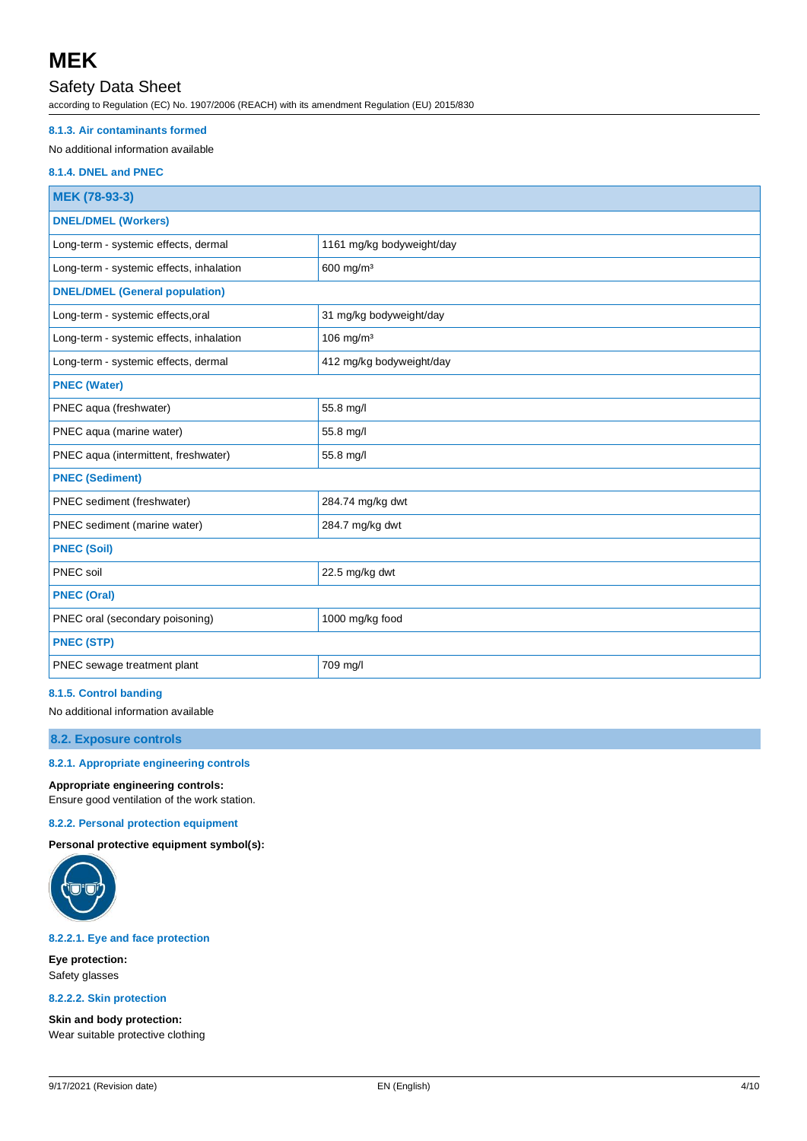# Safety Data Sheet

according to Regulation (EC) No. 1907/2006 (REACH) with its amendment Regulation (EU) 2015/830

#### **8.1.3. Air contaminants formed**

#### No additional information available

#### **8.1.4. DNEL and PNEC**

| MEK (78-93-3)                            |                           |  |
|------------------------------------------|---------------------------|--|
| <b>DNEL/DMEL (Workers)</b>               |                           |  |
| Long-term - systemic effects, dermal     | 1161 mg/kg bodyweight/day |  |
| Long-term - systemic effects, inhalation | 600 mg/m <sup>3</sup>     |  |
| <b>DNEL/DMEL (General population)</b>    |                           |  |
| Long-term - systemic effects, oral       | 31 mg/kg bodyweight/day   |  |
| Long-term - systemic effects, inhalation | 106 mg/m $3$              |  |
| Long-term - systemic effects, dermal     | 412 mg/kg bodyweight/day  |  |
| <b>PNEC (Water)</b>                      |                           |  |
| PNEC aqua (freshwater)                   | 55.8 mg/l                 |  |
| PNEC aqua (marine water)                 | 55.8 mg/l                 |  |
| PNEC aqua (intermittent, freshwater)     | 55.8 mg/l                 |  |
| <b>PNEC (Sediment)</b>                   |                           |  |
| PNEC sediment (freshwater)               | 284.74 mg/kg dwt          |  |
| PNEC sediment (marine water)             | 284.7 mg/kg dwt           |  |
| <b>PNEC (Soil)</b>                       |                           |  |
| PNEC soil                                | 22.5 mg/kg dwt            |  |
| <b>PNEC (Oral)</b>                       |                           |  |
| PNEC oral (secondary poisoning)          | 1000 mg/kg food           |  |
| <b>PNEC (STP)</b>                        |                           |  |
| PNEC sewage treatment plant              | 709 mg/l                  |  |

#### **8.1.5. Control banding**

No additional information available

#### **8.2. Exposure controls**

**8.2.1. Appropriate engineering controls**

#### **Appropriate engineering controls:**

Ensure good ventilation of the work station.

#### **8.2.2. Personal protection equipment**

**Personal protective equipment symbol(s):**



#### **8.2.2.1. Eye and face protection**

**Eye protection:** Safety glasses

#### **8.2.2.2. Skin protection**

**Skin and body protection:** Wear suitable protective clothing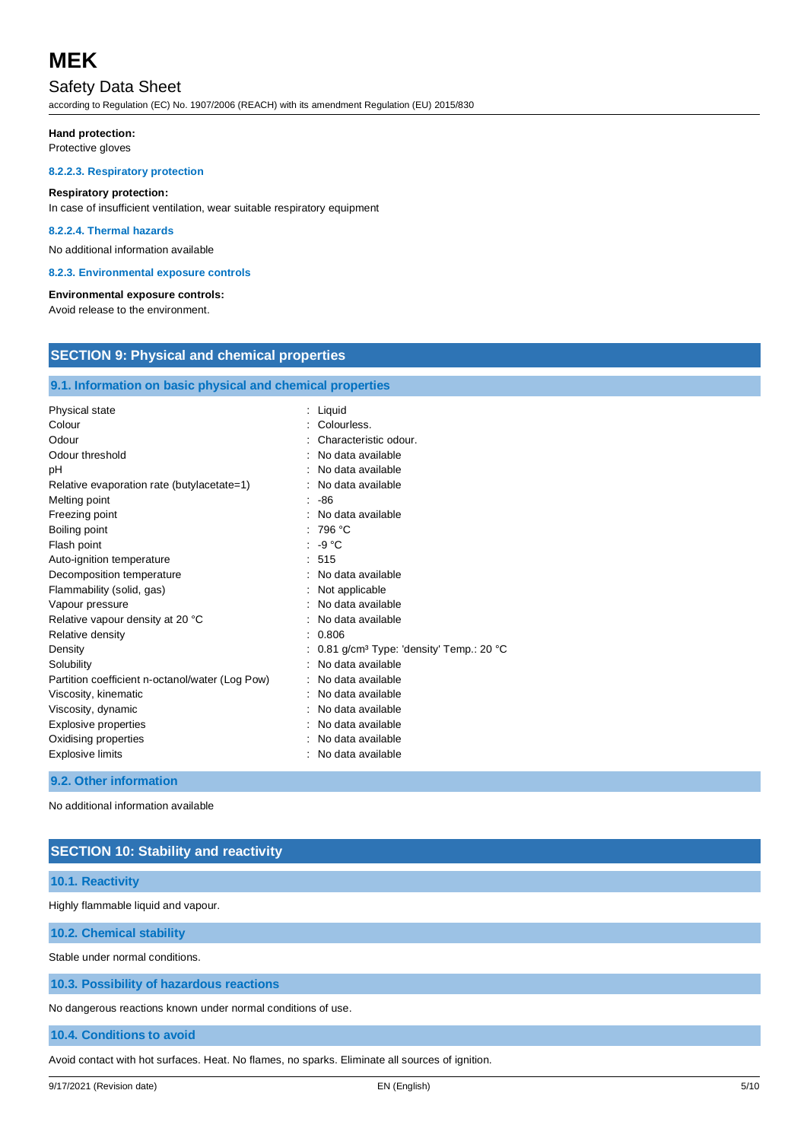# Safety Data Sheet

according to Regulation (EC) No. 1907/2006 (REACH) with its amendment Regulation (EU) 2015/830

#### **Hand protection:**

Protective gloves

#### **8.2.2.3. Respiratory protection**

#### **Respiratory protection:**

In case of insufficient ventilation, wear suitable respiratory equipment

#### **8.2.2.4. Thermal hazards**

No additional information available

#### **8.2.3. Environmental exposure controls**

#### **Environmental exposure controls:**

Avoid release to the environment.

# **SECTION 9: Physical and chemical properties**

#### **9.1. Information on basic physical and chemical properties**

| Physical state<br>Colour<br>Odour<br>Odour threshold<br>pH<br>Relative evaporation rate (butylacetate=1)<br>Melting point<br>Freezing point<br>Boiling point<br>Flash point<br>Auto-ignition temperature<br>Decomposition temperature<br>Flammability (solid, gas)<br>Vapour pressure<br>Relative vapour density at 20 °C<br>Relative density<br>Density<br>Solubility<br>Partition coefficient n-octanol/water (Log Pow)<br>Viscosity, kinematic<br>Viscosity, dynamic | : Liquid<br>Colourless.<br>Characteristic odour.<br>No data available<br>No data available<br>No data available<br>-86<br>No data available<br>: 796 °C<br>$\cdot$ -9 °C<br>: 515<br>No data available<br>Not applicable<br>No data available<br>No data available<br>: 0.806<br>0.81 g/cm <sup>3</sup> Type: 'density' Temp.: 20 °C<br>No data available<br>No data available<br>No data available<br>No data available |
|-------------------------------------------------------------------------------------------------------------------------------------------------------------------------------------------------------------------------------------------------------------------------------------------------------------------------------------------------------------------------------------------------------------------------------------------------------------------------|--------------------------------------------------------------------------------------------------------------------------------------------------------------------------------------------------------------------------------------------------------------------------------------------------------------------------------------------------------------------------------------------------------------------------|
|                                                                                                                                                                                                                                                                                                                                                                                                                                                                         |                                                                                                                                                                                                                                                                                                                                                                                                                          |
|                                                                                                                                                                                                                                                                                                                                                                                                                                                                         | No data available                                                                                                                                                                                                                                                                                                                                                                                                        |
| Explosive properties                                                                                                                                                                                                                                                                                                                                                                                                                                                    |                                                                                                                                                                                                                                                                                                                                                                                                                          |
| Oxidising properties                                                                                                                                                                                                                                                                                                                                                                                                                                                    | No data available                                                                                                                                                                                                                                                                                                                                                                                                        |
| <b>Explosive limits</b>                                                                                                                                                                                                                                                                                                                                                                                                                                                 | No data available                                                                                                                                                                                                                                                                                                                                                                                                        |

**9.2. Other information**

No additional information available

# **SECTION 10: Stability and reactivity**

### **10.1. Reactivity**

Highly flammable liquid and vapour.

**10.2. Chemical stability**

Stable under normal conditions.

### **10.3. Possibility of hazardous reactions**

No dangerous reactions known under normal conditions of use.

#### **10.4. Conditions to avoid**

Avoid contact with hot surfaces. Heat. No flames, no sparks. Eliminate all sources of ignition.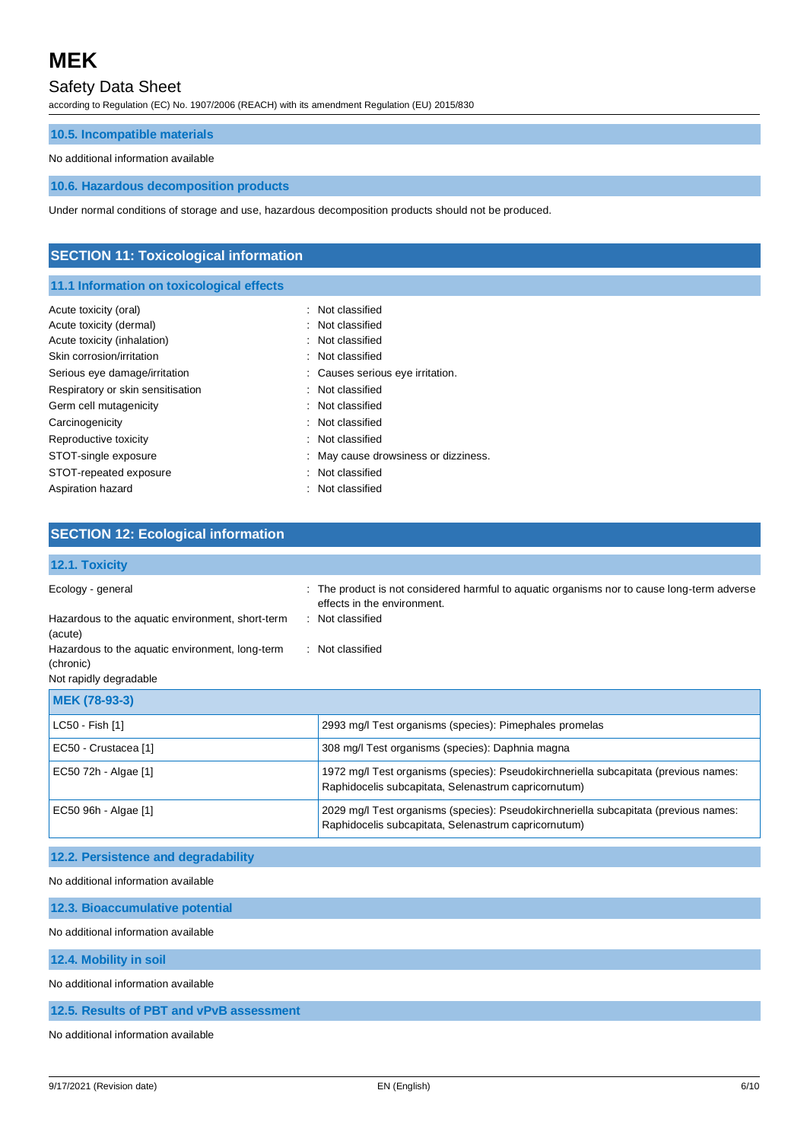# Safety Data Sheet

according to Regulation (EC) No. 1907/2006 (REACH) with its amendment Regulation (EU) 2015/830

#### **10.5. Incompatible materials**

#### No additional information available

#### **10.6. Hazardous decomposition products**

Under normal conditions of storage and use, hazardous decomposition products should not be produced.

# **SECTION 11: Toxicological information 11.1 Information on toxicological effects** Acute toxicity (oral) **interval** to the control of the classified in the classified Acute toxicity (dermal) **Example 2** and the classified in Not classified Acute toxicity (inhalation)  $\qquad \qquad$ : Not classified Skin corrosion/irritation : Not classified Serious eye damage/irritation : Causes serious eye irritation. Respiratory or skin sensitisation : Not classified Germ cell mutagenicity **Second Contract Contract Contract Contract Contract Contract Contract Contract Contract Contract Contract Contract Contract Contract Contract Contract Contract Contract Contract Contract Contract Co** Carcinogenicity **Carcinogenicity** : Not classified Reproductive toxicity **in the case of the CRS** control of the Reproductive toxicity STOT-single exposure **in the state of the state of the STOT-single exposure**  $\cdot$  May cause drowsiness or dizziness. STOT-repeated exposure in the state of the state of the STOT-repeated exposure Aspiration hazard **in the set of the set of the set of the set of the set of the set of the set of the set of the set of the set of the set of the set of the set of the set of the set of the set of the set of the set of th**

| <b>SECTION 12: Ecological information</b>                    |                                                                                                                                              |
|--------------------------------------------------------------|----------------------------------------------------------------------------------------------------------------------------------------------|
| 12.1. Toxicity                                               |                                                                                                                                              |
| Ecology - general                                            | The product is not considered harmful to aquatic organisms nor to cause long-term adverse<br>effects in the environment.                     |
| Hazardous to the aquatic environment, short-term<br>(acute)  | : Not classified                                                                                                                             |
| Hazardous to the aquatic environment, long-term<br>(chronic) | : Not classified                                                                                                                             |
| Not rapidly degradable                                       |                                                                                                                                              |
| MEK (78-93-3)                                                |                                                                                                                                              |
| LC50 - Fish [1]                                              | 2993 mg/l Test organisms (species): Pimephales promelas                                                                                      |
| EC50 - Crustacea [1]                                         | 308 mg/l Test organisms (species): Daphnia magna                                                                                             |
| EC50 72h - Algae [1]                                         | 1972 mg/l Test organisms (species): Pseudokirchneriella subcapitata (previous names:<br>Raphidocelis subcapitata, Selenastrum capricornutum) |
| EC50 96h - Algae [1]                                         | 2029 mg/l Test organisms (species): Pseudokirchneriella subcapitata (previous names:<br>Raphidocelis subcapitata, Selenastrum capricornutum) |

#### **12.2. Persistence and degradability**

No additional information available

| 12.3. Bioaccumulative potential     |  |
|-------------------------------------|--|
| No additional information available |  |
| 12.4. Mobility in soil              |  |

No additional information available

**12.5. Results of PBT and vPvB assessment**

No additional information available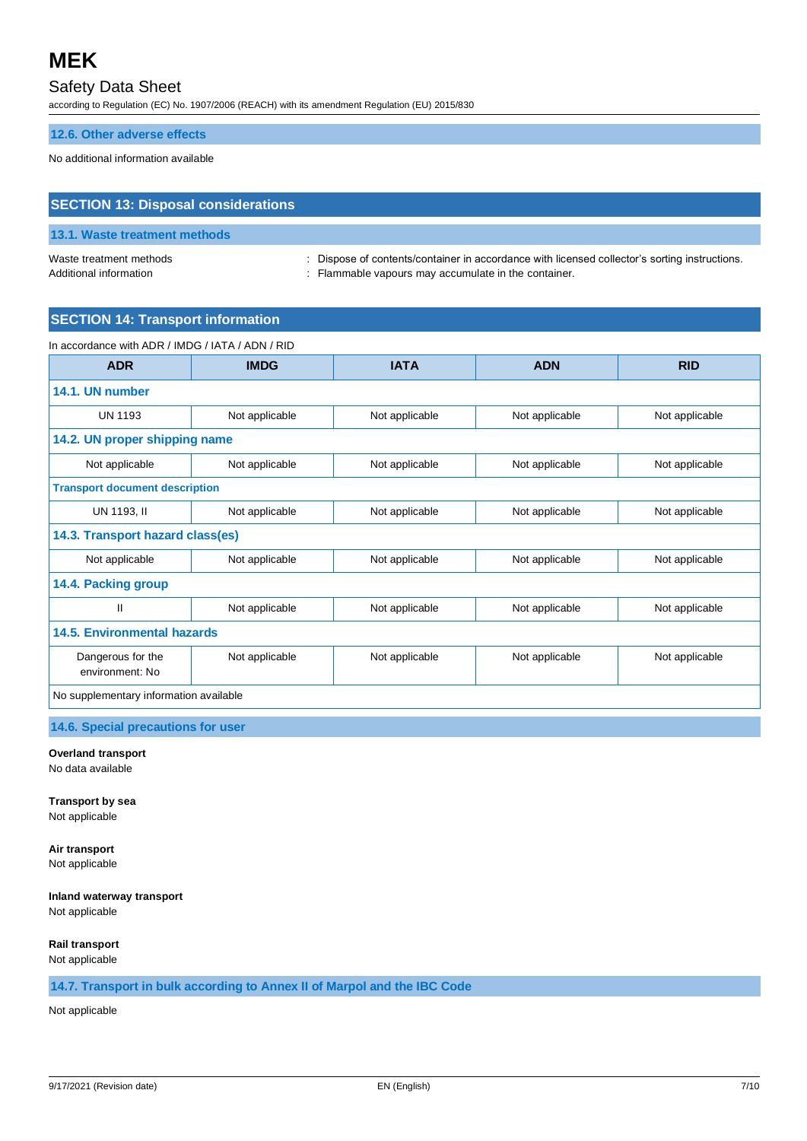# Safety Data Sheet

according to Regulation (EC) No. 1907/2006 (REACH) with its amendment Regulation (EU) 2015/830

#### **12.6. Other adverse effects**

No additional information available

# **SECTION 13: Disposal considerations**

# **13.1. Waste treatment methods**

Waste treatment methods : Dispose of contents/container in accordance with licensed collector's sorting instructions. Additional information **interest in the container.** : Flammable vapours may accumulate in the container.

### **SECTION 14: Transport information**

#### In accordance with ADR / IMDG / IATA / ADN / RID

| <b>ADR</b>                             | <b>IMDG</b>    | <b>IATA</b>    | <b>ADN</b>     | <b>RID</b>     |
|----------------------------------------|----------------|----------------|----------------|----------------|
| 14.1. UN number                        |                |                |                |                |
| <b>UN 1193</b>                         | Not applicable | Not applicable | Not applicable | Not applicable |
| 14.2. UN proper shipping name          |                |                |                |                |
| Not applicable                         | Not applicable | Not applicable | Not applicable | Not applicable |
| <b>Transport document description</b>  |                |                |                |                |
| UN 1193, II                            | Not applicable | Not applicable | Not applicable | Not applicable |
| 14.3. Transport hazard class(es)       |                |                |                |                |
| Not applicable                         | Not applicable | Not applicable | Not applicable | Not applicable |
| 14.4. Packing group                    |                |                |                |                |
| Ш                                      | Not applicable | Not applicable | Not applicable | Not applicable |
| <b>14.5. Environmental hazards</b>     |                |                |                |                |
| Dangerous for the<br>environment: No   | Not applicable | Not applicable | Not applicable | Not applicable |
| No supplementary information available |                |                |                |                |

### **14.6. Special precautions for user**

#### **Overland transport**

No data available

**Transport by sea** Not applicable

**Air transport** Not applicable

**Inland waterway transport** Not applicable

**Rail transport**

Not applicable

#### **14.7. Transport in bulk according to Annex II of Marpol and the IBC Code**

Not applicable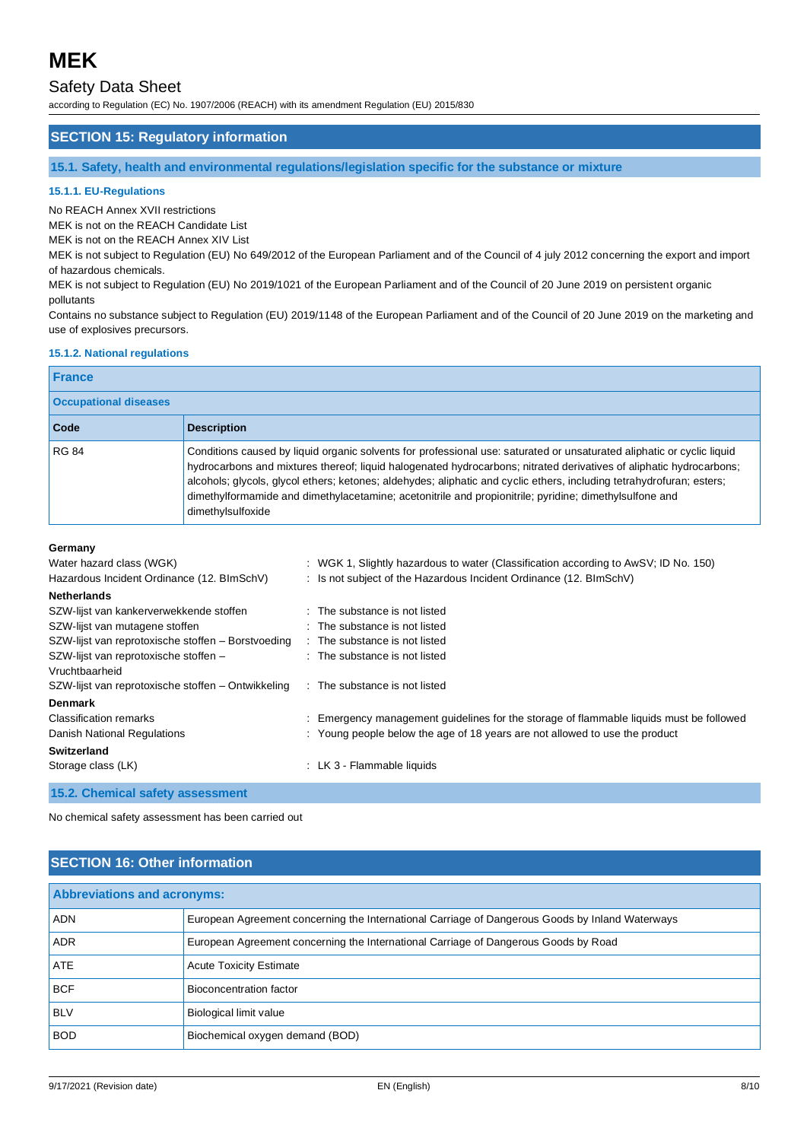# Safety Data Sheet

according to Regulation (EC) No. 1907/2006 (REACH) with its amendment Regulation (EU) 2015/830

#### **SECTION 15: Regulatory information**

**15.1. Safety, health and environmental regulations/legislation specific for the substance or mixture**

#### **15.1.1. EU-Regulations**

No REACH Annex XVII restrictions

MEK is not on the REACH Candidate List

MEK is not on the REACH Annex XIV List

MEK is not subject to Regulation (EU) No 649/2012 of the European Parliament and of the Council of 4 july 2012 concerning the export and import of hazardous chemicals.

MEK is not subject to Regulation (EU) No 2019/1021 of the European Parliament and of the Council of 20 June 2019 on persistent organic pollutants

Contains no substance subject to Regulation (EU) 2019/1148 of the European Parliament and of the Council of 20 June 2019 on the marketing and use of explosives precursors.

#### **15.1.2. National regulations**

# **France**

| <b>Occupational diseases</b> |                                                                                                                                                                                                                                                                                                                                                                                                                                                                                                       |
|------------------------------|-------------------------------------------------------------------------------------------------------------------------------------------------------------------------------------------------------------------------------------------------------------------------------------------------------------------------------------------------------------------------------------------------------------------------------------------------------------------------------------------------------|
| <b>Code</b>                  | <b>Description</b>                                                                                                                                                                                                                                                                                                                                                                                                                                                                                    |
| <b>RG 84</b>                 | Conditions caused by liquid organic solvents for professional use: saturated or unsaturated aliphatic or cyclic liquid<br>hydrocarbons and mixtures thereof; liquid halogenated hydrocarbons; nitrated derivatives of aliphatic hydrocarbons;<br>alcohols; glycols, glycol ethers; ketones; aldehydes; aliphatic and cyclic ethers, including tetrahydrofuran; esters;<br>dimethylformamide and dimethylacetamine; acetonitrile and propionitrile; pyridine; dimethylsulfone and<br>dimethylsulfoxide |

#### **Germany**

| Water hazard class (WGK)                           | : WGK 1, Slightly hazardous to water (Classification according to AwSV; ID No. 150)     |
|----------------------------------------------------|-----------------------------------------------------------------------------------------|
| Hazardous Incident Ordinance (12. BImSchV)         | : Is not subject of the Hazardous Incident Ordinance (12. BImSchV)                      |
| <b>Netherlands</b>                                 |                                                                                         |
| SZW-lijst van kankerverwekkende stoffen            | : The substance is not listed                                                           |
| SZW-lijst van mutagene stoffen                     | : The substance is not listed                                                           |
| SZW-lijst van reprotoxische stoffen - Borstvoeding | : The substance is not listed                                                           |
| SZW-lijst van reprotoxische stoffen -              | : The substance is not listed                                                           |
| Vruchtbaarheid                                     |                                                                                         |
| SZW-lijst van reprotoxische stoffen – Ontwikkeling | : The substance is not listed                                                           |
| <b>Denmark</b>                                     |                                                                                         |
| Classification remarks                             | : Emergency management guidelines for the storage of flammable liquids must be followed |
| Danish National Regulations                        | : Young people below the age of 18 years are not allowed to use the product             |
| <b>Switzerland</b>                                 |                                                                                         |
| Storage class (LK)                                 | : LK 3 - Flammable liquids                                                              |
| 15.2. Chemical safety assessment                   |                                                                                         |

No chemical safety assessment has been carried out

# **SECTION 16: Other information**

| <b>Abbreviations and acronyms:</b> |                                                                                                 |
|------------------------------------|-------------------------------------------------------------------------------------------------|
| <b>ADN</b>                         | European Agreement concerning the International Carriage of Dangerous Goods by Inland Waterways |
| <b>ADR</b>                         | European Agreement concerning the International Carriage of Dangerous Goods by Road             |
| <b>ATE</b>                         | <b>Acute Toxicity Estimate</b>                                                                  |
| <b>BCF</b>                         | Bioconcentration factor                                                                         |
| <b>BLV</b>                         | Biological limit value                                                                          |
| <b>BOD</b>                         | Biochemical oxygen demand (BOD)                                                                 |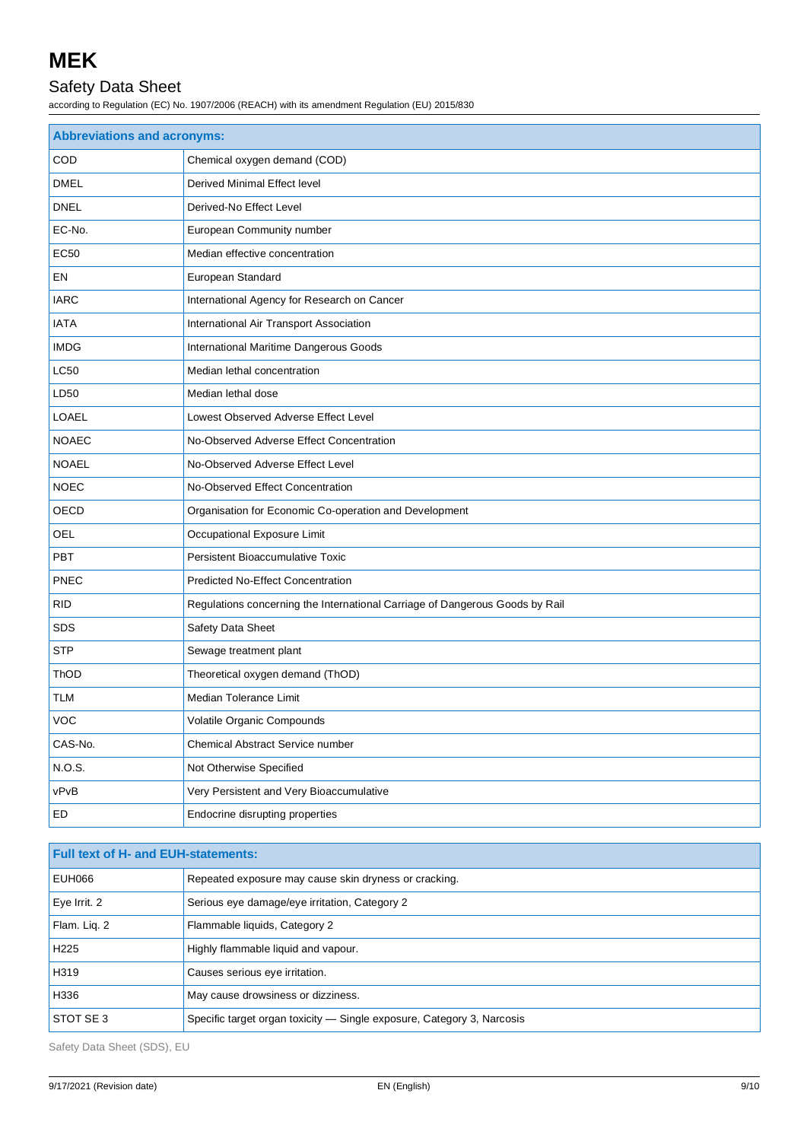# Safety Data Sheet

according to Regulation (EC) No. 1907/2006 (REACH) with its amendment Regulation (EU) 2015/830

| <b>Abbreviations and acronyms:</b> |                                                                              |
|------------------------------------|------------------------------------------------------------------------------|
| COD                                | Chemical oxygen demand (COD)                                                 |
| <b>DMEL</b>                        | Derived Minimal Effect level                                                 |
| <b>DNEL</b>                        | Derived-No Effect Level                                                      |
| EC-No.                             | European Community number                                                    |
| <b>EC50</b>                        | Median effective concentration                                               |
| EN                                 | European Standard                                                            |
| <b>IARC</b>                        | International Agency for Research on Cancer                                  |
| <b>IATA</b>                        | International Air Transport Association                                      |
| <b>IMDG</b>                        | International Maritime Dangerous Goods                                       |
| LC50                               | Median lethal concentration                                                  |
| LD50                               | Median lethal dose                                                           |
| LOAEL                              | Lowest Observed Adverse Effect Level                                         |
| <b>NOAEC</b>                       | No-Observed Adverse Effect Concentration                                     |
| <b>NOAEL</b>                       | No-Observed Adverse Effect Level                                             |
| <b>NOEC</b>                        | No-Observed Effect Concentration                                             |
| OECD                               | Organisation for Economic Co-operation and Development                       |
| OEL                                | Occupational Exposure Limit                                                  |
| <b>PBT</b>                         | Persistent Bioaccumulative Toxic                                             |
| <b>PNEC</b>                        | <b>Predicted No-Effect Concentration</b>                                     |
| <b>RID</b>                         | Regulations concerning the International Carriage of Dangerous Goods by Rail |
| <b>SDS</b>                         | Safety Data Sheet                                                            |
| <b>STP</b>                         | Sewage treatment plant                                                       |
| ThOD                               | Theoretical oxygen demand (ThOD)                                             |
| TLM                                | Median Tolerance Limit                                                       |
| <b>VOC</b>                         | Volatile Organic Compounds                                                   |
| CAS-No.                            | Chemical Abstract Service number                                             |
| <b>N.O.S.</b>                      | Not Otherwise Specified                                                      |
| vPvB                               | Very Persistent and Very Bioaccumulative                                     |
| ED                                 | Endocrine disrupting properties                                              |

| <b>Full text of H- and EUH-statements:</b> |                                                                        |
|--------------------------------------------|------------------------------------------------------------------------|
| EUH066                                     | Repeated exposure may cause skin dryness or cracking.                  |
| Eye Irrit. 2                               | Serious eye damage/eye irritation, Category 2                          |
| Flam. Lig. 2                               | Flammable liquids, Category 2                                          |
| H <sub>225</sub>                           | Highly flammable liquid and vapour.                                    |
| H319                                       | Causes serious eye irritation.                                         |
| H336                                       | May cause drowsiness or dizziness.                                     |
| STOT SE 3                                  | Specific target organ toxicity — Single exposure, Category 3, Narcosis |

Safety Data Sheet (SDS), EU